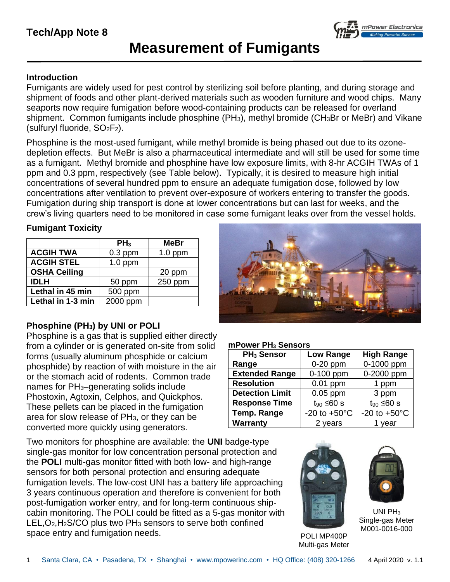## **Tech/App Note 8**



# **Measurement of Fumigants**

#### **Introduction**

Fumigants are widely used for pest control by sterilizing soil before planting, and during storage and shipment of foods and other plant-derived materials such as wooden furniture and wood chips. Many seaports now require fumigation before wood-containing products can be released for overland shipment. Common fumigants include phosphine (PH<sub>3</sub>), methyl bromide (CH<sub>3</sub>Br or MeBr) and Vikane (sulfuryl fluoride, SO2F2).

Phosphine is the most-used fumigant, while methyl bromide is being phased out due to its ozonedepletion effects. But MeBr is also a pharmaceutical intermediate and will still be used for some time as a fumigant. Methyl bromide and phosphine have low exposure limits, with 8-hr ACGIH TWAs of 1 ppm and 0.3 ppm, respectively (see Table below). Typically, it is desired to measure high initial concentrations of several hundred ppm to ensure an adequate fumigation dose, followed by low concentrations after ventilation to prevent over-exposure of workers entering to transfer the goods. Fumigation during ship transport is done at lower concentrations but can last for weeks, and the crew's living quarters need to be monitored in case some fumigant leaks over from the vessel holds.

#### **Fumigant Toxicity**

|                     | PH <sub>3</sub> | MeBr      |
|---------------------|-----------------|-----------|
| <b>ACGIH TWA</b>    | $0.3$ ppm       | $1.0$ ppm |
| <b>ACGIH STEL</b>   | $1.0$ ppm       |           |
| <b>OSHA Ceiling</b> |                 | 20 ppm    |
| <b>IDLH</b>         | 50 ppm          | 250 ppm   |
| Lethal in 45 min    | 500 ppm         |           |
| Lethal in 1-3 min   | 2000 ppm        |           |

#### **Phosphine (PH3) by UNI or POLI**

Phosphine is a gas that is supplied either directly from a cylinder or is generated on-site from solid forms (usually aluminum phosphide or calcium phosphide) by reaction of with moisture in the air or the stomach acid of rodents. Common trade names for PH3–generating solids include Phostoxin, Agtoxin, Celphos, and Quickphos. These pellets can be placed in the fumigation area for slow release of PH3, or they can be converted more quickly using generators.

Two monitors for phosphine are available: the **UNI** badge-type single-gas monitor for low concentration personal protection and the **POLI** multi-gas monitor fitted with both low- and high-range sensors for both personal protection and ensuring adequate fumigation levels. The low-cost UNI has a battery life approaching 3 years continuous operation and therefore is convenient for both post-fumigation worker entry, and for long-term continuous shipcabin monitoring. The POLI could be fitted as a 5-gas monitor with LEL,O2,H2S/CO plus two PH<sup>3</sup> sensors to serve both confined space entry and fumigation needs. The entry space entry and fumigation needs.



#### **mPower PH<sup>3</sup> Sensors**

| PH <sub>3</sub> Sensor | <b>Low Range</b>         | <b>High Range</b>      |  |
|------------------------|--------------------------|------------------------|--|
| Range                  | 0-1000 ppm<br>$0-20$ ppm |                        |  |
| <b>Extended Range</b>  | 0-100 ppm                | 0-2000 ppm             |  |
| <b>Resolution</b>      | $0.01$ ppm               | 1 ppm                  |  |
| <b>Detection Limit</b> | $0.05$ ppm               | 3 ppm                  |  |
| <b>Response Time</b>   | $t_{90}$ ≤60 s           | $t_{90}$ ≤60 s         |  |
| <b>Temp. Range</b>     | $-20$ to $+50^{\circ}$ C | -20 to $+50^{\circ}$ C |  |
| Warranty               | 2 years                  | 1 year                 |  |



Multi-gas Meter



UNI  $PH_3$ Single-gas Meter M001-0016-000